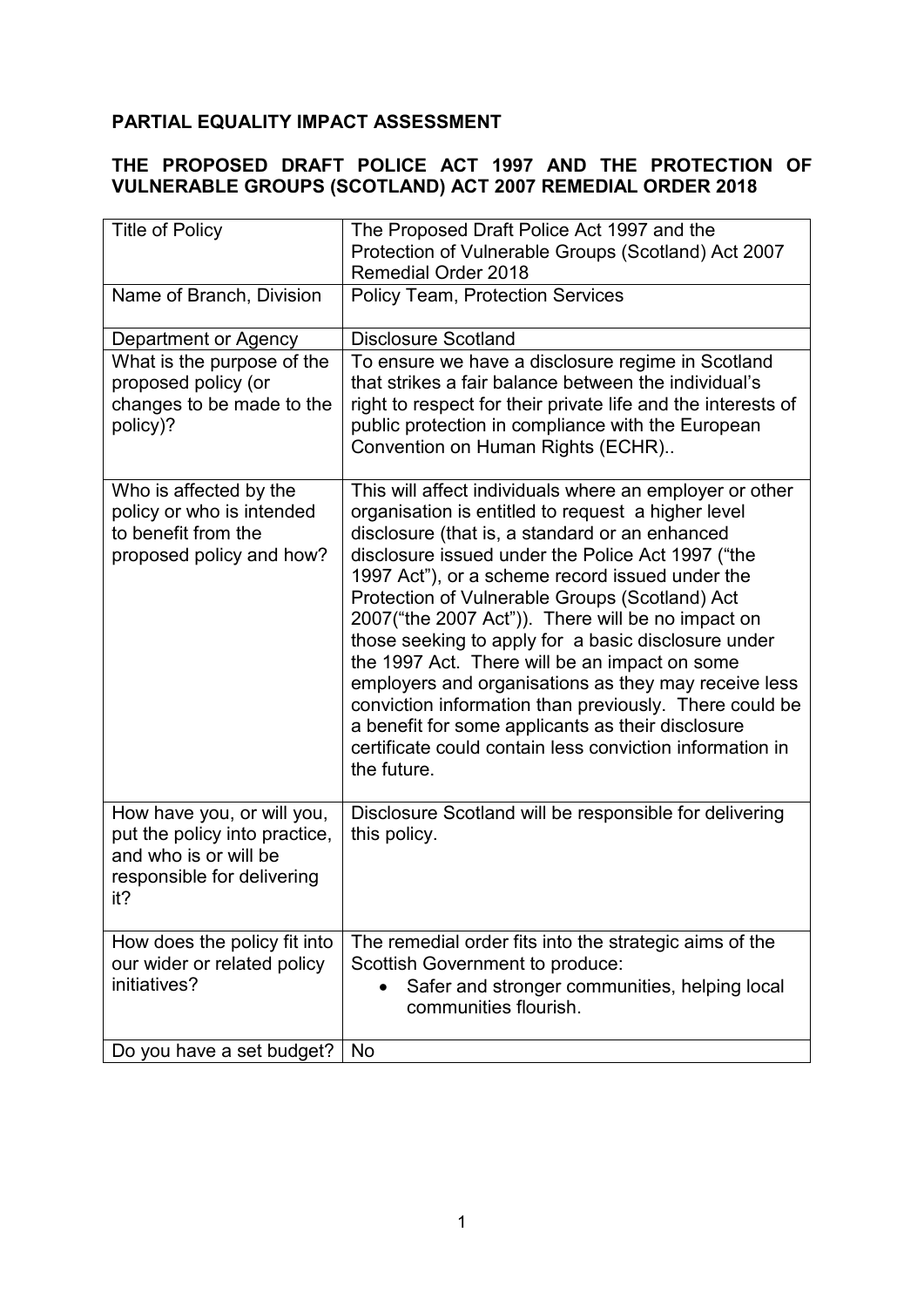# **PARTIAL EQUALITY IMPACT ASSESSMENT**

## **THE PROPOSED DRAFT POLICE ACT 1997 AND THE PROTECTION OF VULNERABLE GROUPS (SCOTLAND) ACT 2007 REMEDIAL ORDER 2018**

| <b>Title of Policy</b>                                                                                                    | The Proposed Draft Police Act 1997 and the                                                                                                                                                                                                                                                                                                                                                                                                                                                                                                                                                                                                                                                                                               |
|---------------------------------------------------------------------------------------------------------------------------|------------------------------------------------------------------------------------------------------------------------------------------------------------------------------------------------------------------------------------------------------------------------------------------------------------------------------------------------------------------------------------------------------------------------------------------------------------------------------------------------------------------------------------------------------------------------------------------------------------------------------------------------------------------------------------------------------------------------------------------|
|                                                                                                                           | Protection of Vulnerable Groups (Scotland) Act 2007<br><b>Remedial Order 2018</b>                                                                                                                                                                                                                                                                                                                                                                                                                                                                                                                                                                                                                                                        |
| Name of Branch, Division                                                                                                  | <b>Policy Team, Protection Services</b>                                                                                                                                                                                                                                                                                                                                                                                                                                                                                                                                                                                                                                                                                                  |
|                                                                                                                           |                                                                                                                                                                                                                                                                                                                                                                                                                                                                                                                                                                                                                                                                                                                                          |
| Department or Agency                                                                                                      | <b>Disclosure Scotland</b>                                                                                                                                                                                                                                                                                                                                                                                                                                                                                                                                                                                                                                                                                                               |
| What is the purpose of the<br>proposed policy (or<br>changes to be made to the<br>policy)?                                | To ensure we have a disclosure regime in Scotland<br>that strikes a fair balance between the individual's<br>right to respect for their private life and the interests of<br>public protection in compliance with the European<br>Convention on Human Rights (ECHR)                                                                                                                                                                                                                                                                                                                                                                                                                                                                      |
| Who is affected by the<br>policy or who is intended<br>to benefit from the<br>proposed policy and how?                    | This will affect individuals where an employer or other<br>organisation is entitled to request a higher level<br>disclosure (that is, a standard or an enhanced<br>disclosure issued under the Police Act 1997 ("the<br>1997 Act"), or a scheme record issued under the<br>Protection of Vulnerable Groups (Scotland) Act<br>2007("the 2007 Act")). There will be no impact on<br>those seeking to apply for a basic disclosure under<br>the 1997 Act. There will be an impact on some<br>employers and organisations as they may receive less<br>conviction information than previously. There could be<br>a benefit for some applicants as their disclosure<br>certificate could contain less conviction information in<br>the future. |
| How have you, or will you,<br>put the policy into practice,<br>and who is or will be<br>responsible for delivering<br>it? | Disclosure Scotland will be responsible for delivering<br>this policy.                                                                                                                                                                                                                                                                                                                                                                                                                                                                                                                                                                                                                                                                   |
| How does the policy fit into                                                                                              | The remedial order fits into the strategic aims of the                                                                                                                                                                                                                                                                                                                                                                                                                                                                                                                                                                                                                                                                                   |
| our wider or related policy<br>initiatives?                                                                               | Scottish Government to produce:                                                                                                                                                                                                                                                                                                                                                                                                                                                                                                                                                                                                                                                                                                          |
|                                                                                                                           | Safer and stronger communities, helping local<br>communities flourish.                                                                                                                                                                                                                                                                                                                                                                                                                                                                                                                                                                                                                                                                   |
| Do you have a set budget?                                                                                                 | <b>No</b>                                                                                                                                                                                                                                                                                                                                                                                                                                                                                                                                                                                                                                                                                                                                |
|                                                                                                                           |                                                                                                                                                                                                                                                                                                                                                                                                                                                                                                                                                                                                                                                                                                                                          |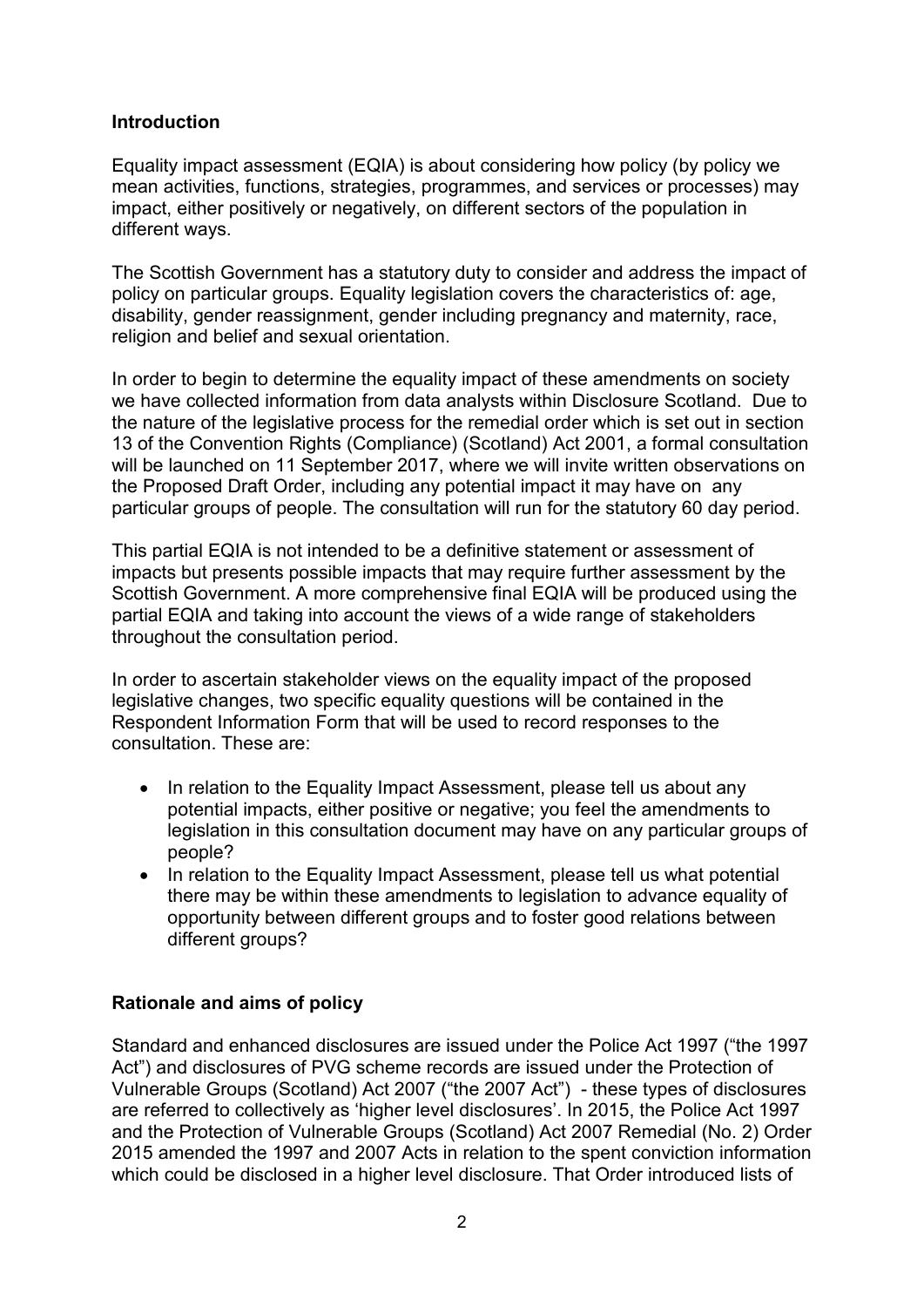### **Introduction**

Equality impact assessment (EQIA) is about considering how policy (by policy we mean activities, functions, strategies, programmes, and services or processes) may impact, either positively or negatively, on different sectors of the population in different ways.

The Scottish Government has a statutory duty to consider and address the impact of policy on particular groups. Equality legislation covers the characteristics of: age, disability, gender reassignment, gender including pregnancy and maternity, race, religion and belief and sexual orientation.

In order to begin to determine the equality impact of these amendments on society we have collected information from data analysts within Disclosure Scotland. Due to the nature of the legislative process for the remedial order which is set out in section 13 of the Convention Rights (Compliance) (Scotland) Act 2001, a formal consultation will be launched on 11 September 2017, where we will invite written observations on the Proposed Draft Order, including any potential impact it may have on any particular groups of people. The consultation will run for the statutory 60 day period.

This partial EQIA is not intended to be a definitive statement or assessment of impacts but presents possible impacts that may require further assessment by the Scottish Government. A more comprehensive final EQIA will be produced using the partial EQIA and taking into account the views of a wide range of stakeholders throughout the consultation period.

In order to ascertain stakeholder views on the equality impact of the proposed legislative changes, two specific equality questions will be contained in the Respondent Information Form that will be used to record responses to the consultation. These are:

- In relation to the Equality Impact Assessment, please tell us about any potential impacts, either positive or negative; you feel the amendments to legislation in this consultation document may have on any particular groups of people?
- In relation to the Equality Impact Assessment, please tell us what potential there may be within these amendments to legislation to advance equality of opportunity between different groups and to foster good relations between different groups?

## **Rationale and aims of policy**

Standard and enhanced disclosures are issued under the Police Act 1997 ("the 1997 Act") and disclosures of PVG scheme records are issued under the Protection of Vulnerable Groups (Scotland) Act 2007 ("the 2007 Act") - these types of disclosures are referred to collectively as 'higher level disclosures'. In 2015, the Police Act 1997 and the Protection of Vulnerable Groups (Scotland) Act 2007 Remedial (No. 2) Order 2015 amended the 1997 and 2007 Acts in relation to the spent conviction information which could be disclosed in a higher level disclosure. That Order introduced lists of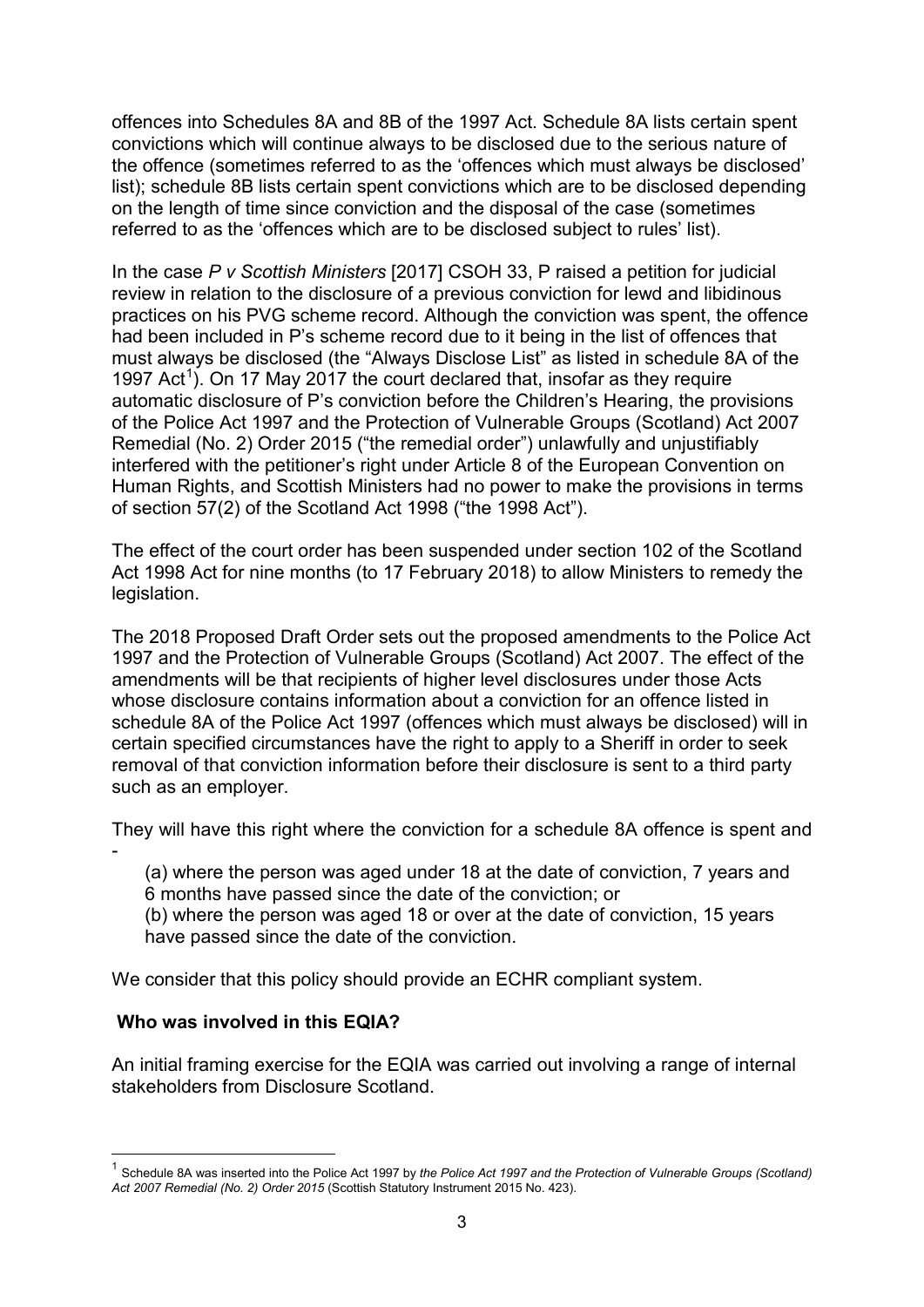offences into Schedules 8A and 8B of the 1997 Act. Schedule 8A lists certain spent convictions which will continue always to be disclosed due to the serious nature of the offence (sometimes referred to as the 'offences which must always be disclosed' list); schedule 8B lists certain spent convictions which are to be disclosed depending on the length of time since conviction and the disposal of the case (sometimes referred to as the 'offences which are to be disclosed subject to rules' list).

In the case *P v Scottish Ministers* [2017] CSOH 33, P raised a petition for judicial review in relation to the disclosure of a previous conviction for lewd and libidinous practices on his PVG scheme record. Although the conviction was spent, the offence had been included in P's scheme record due to it being in the list of offences that must always be disclosed (the "Always Disclose List" as listed in schedule 8A of the [1](#page-2-0)997 Act<sup>1</sup>). On 17 May 2017 the court declared that, insofar as they require automatic disclosure of P's conviction before the Children's Hearing, the provisions of the Police Act 1997 and the Protection of Vulnerable Groups (Scotland) Act 2007 Remedial (No. 2) Order 2015 ("the remedial order") unlawfully and unjustifiably interfered with the petitioner's right under Article 8 of the European Convention on Human Rights, and Scottish Ministers had no power to make the provisions in terms of section 57(2) of the Scotland Act 1998 ("the 1998 Act").

The effect of the court order has been suspended under section 102 of the Scotland Act 1998 Act for nine months (to 17 February 2018) to allow Ministers to remedy the legislation.

The 2018 Proposed Draft Order sets out the proposed amendments to the Police Act 1997 and the Protection of Vulnerable Groups (Scotland) Act 2007. The effect of the amendments will be that recipients of higher level disclosures under those Acts whose disclosure contains information about a conviction for an offence listed in schedule 8A of the Police Act 1997 (offences which must always be disclosed) will in certain specified circumstances have the right to apply to a Sheriff in order to seek removal of that conviction information before their disclosure is sent to a third party such as an employer.

They will have this right where the conviction for a schedule 8A offence is spent and

(a) where the person was aged under 18 at the date of conviction, 7 years and 6 months have passed since the date of the conviction; or

(b) where the person was aged 18 or over at the date of conviction, 15 years have passed since the date of the conviction.

We consider that this policy should provide an ECHR compliant system.

#### **Who was involved in this EQIA?**

-

An initial framing exercise for the EQIA was carried out involving a range of internal stakeholders from Disclosure Scotland.

<span id="page-2-0"></span><sup>1</sup> Schedule 8A was inserted into the Police Act 1997 by *the Police Act 1997 and the Protection of Vulnerable Groups (Scotland) Act 2007 Remedial (No. 2) Order 2015* (Scottish Statutory Instrument 2015 No. 423).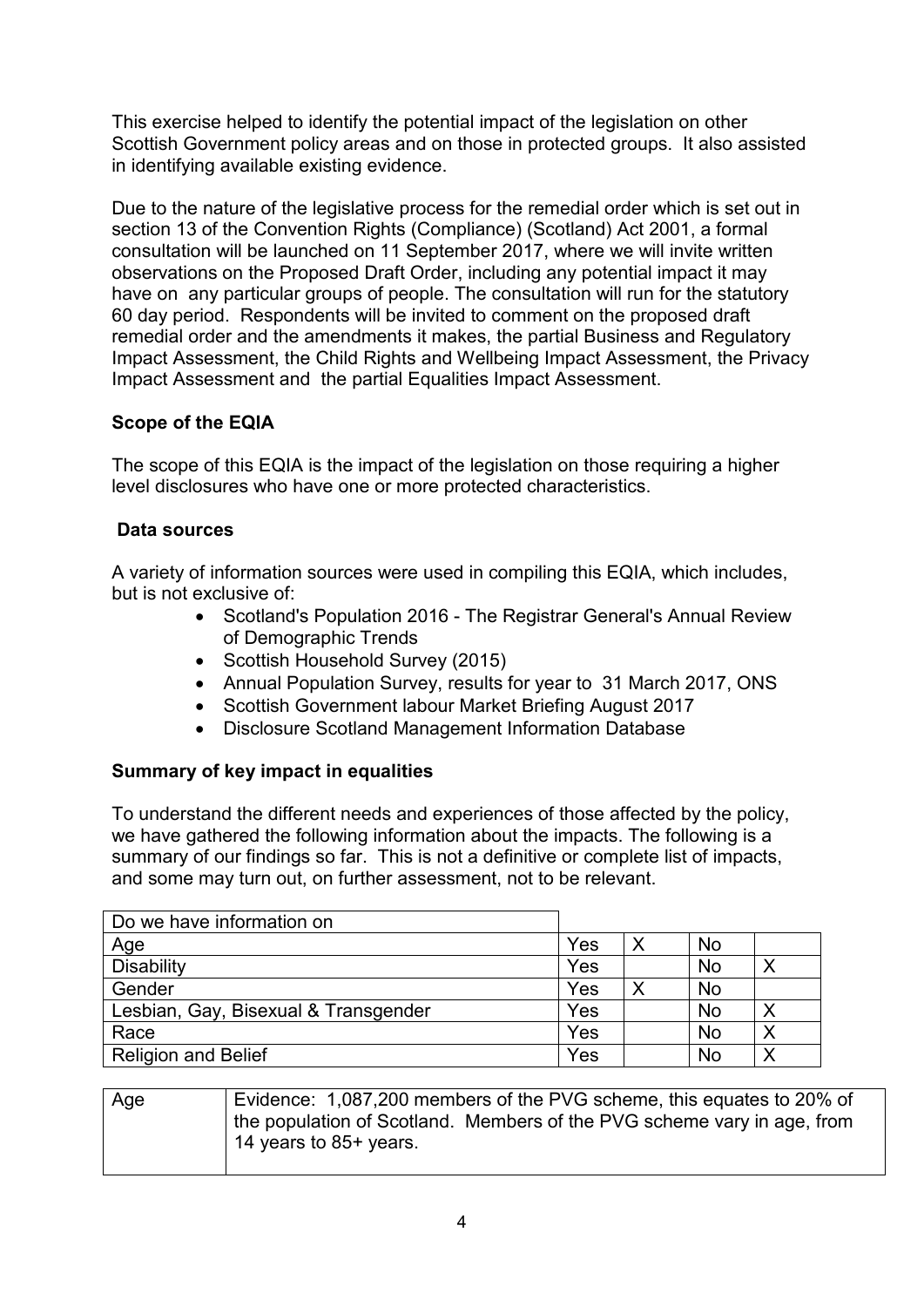This exercise helped to identify the potential impact of the legislation on other Scottish Government policy areas and on those in protected groups. It also assisted in identifying available existing evidence.

Due to the nature of the legislative process for the remedial order which is set out in section 13 of the Convention Rights (Compliance) (Scotland) Act 2001, a formal consultation will be launched on 11 September 2017, where we will invite written observations on the Proposed Draft Order, including any potential impact it may have on any particular groups of people. The consultation will run for the statutory 60 day period. Respondents will be invited to comment on the proposed draft remedial order and the amendments it makes, the partial Business and Regulatory Impact Assessment, the Child Rights and Wellbeing Impact Assessment, the Privacy Impact Assessment and the partial Equalities Impact Assessment.

## **Scope of the EQIA**

The scope of this EQIA is the impact of the legislation on those requiring a higher level disclosures who have one or more protected characteristics.

## **Data sources**

A variety of information sources were used in compiling this EQIA, which includes, but is not exclusive of:

- Scotland's Population 2016 The Registrar General's Annual Review of Demographic Trends
- Scottish Household Survey (2015)
- Annual Population Survey, results for year to 31 March 2017, ONS
- Scottish Government labour Market Briefing August 2017
- Disclosure Scotland Management Information Database

## **Summary of key impact in equalities**

To understand the different needs and experiences of those affected by the policy, we have gathered the following information about the impacts. The following is a summary of our findings so far. This is not a definitive or complete list of impacts, and some may turn out, on further assessment, not to be relevant.

| Do we have information on            |     |   |           |  |
|--------------------------------------|-----|---|-----------|--|
| Age                                  | Yes |   | <b>No</b> |  |
| <b>Disability</b>                    | Yes |   | <b>No</b> |  |
| Gender                               | Yes | Χ | <b>No</b> |  |
| Lesbian, Gay, Bisexual & Transgender | Yes |   | <b>No</b> |  |
| Race                                 | Yes |   | <b>No</b> |  |
| <b>Religion and Belief</b>           | Yes |   | No        |  |

Age Evidence: 1,087,200 members of the PVG scheme, this equates to 20% of the population of Scotland. Members of the PVG scheme vary in age, from 14 years to 85+ years.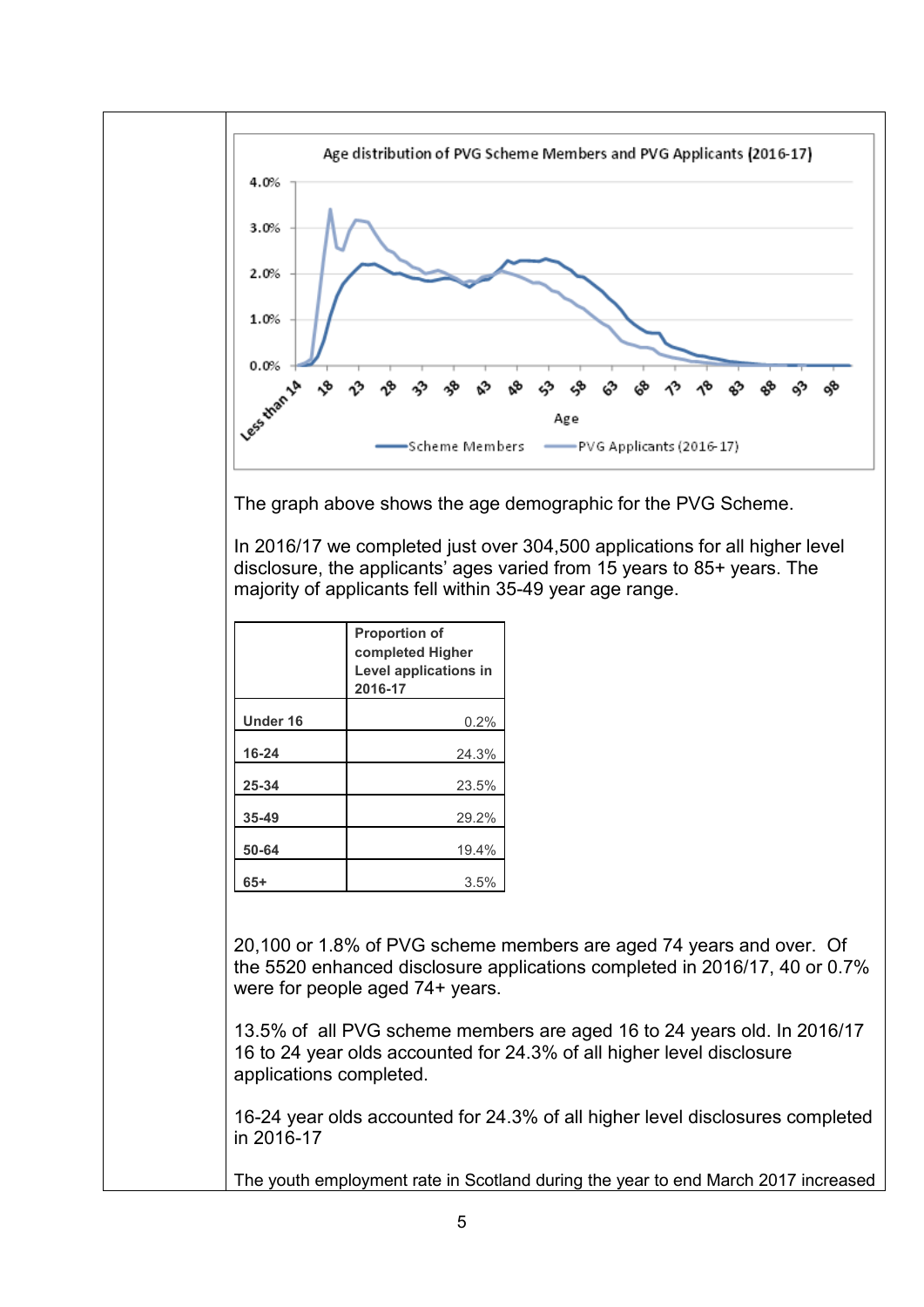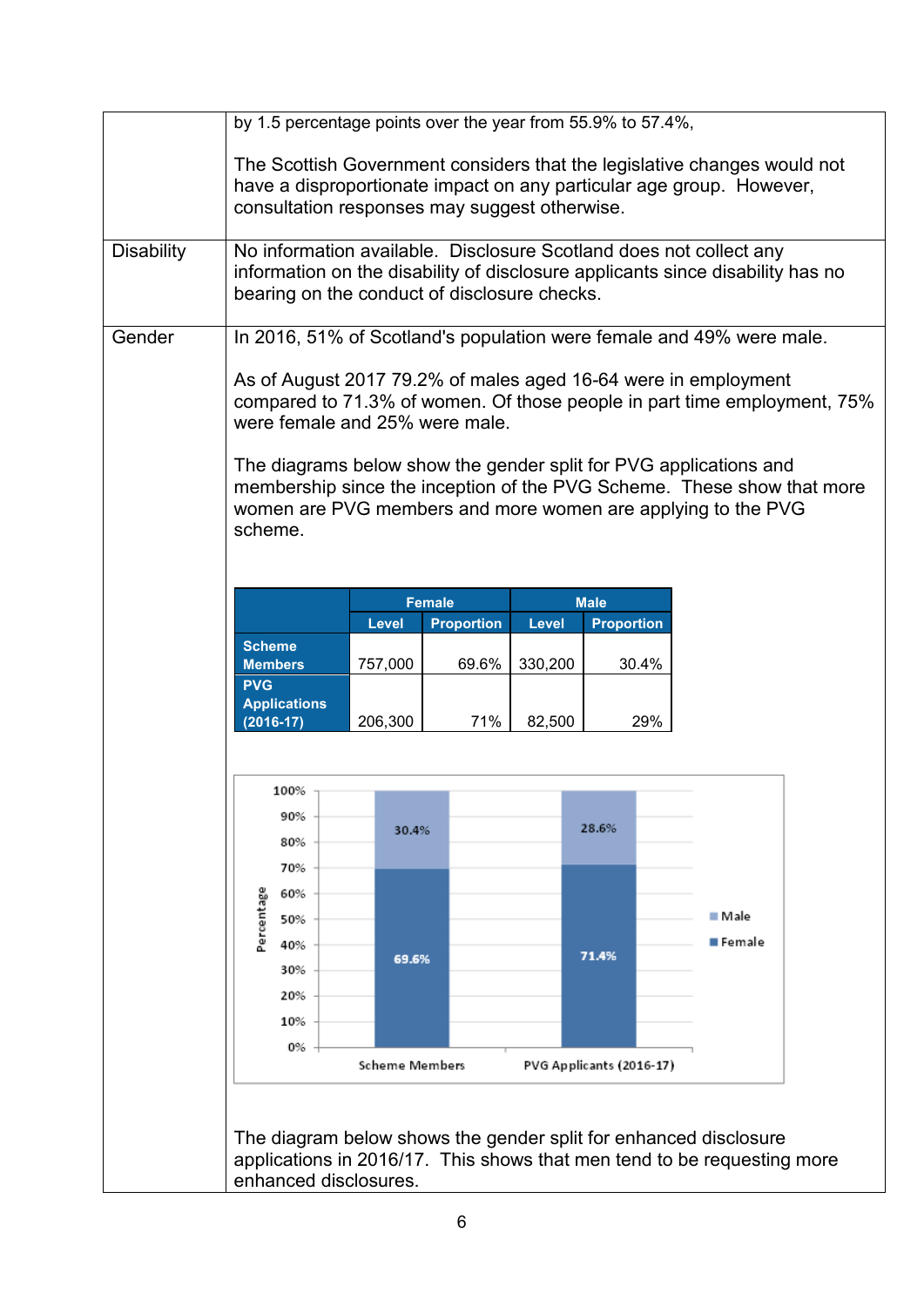|                   | by 1.5 percentage points over the year from 55.9% to 57.4%,<br>The Scottish Government considers that the legislative changes would not<br>have a disproportionate impact on any particular age group. However,<br>consultation responses may suggest otherwise.                                                                                                                                                                                                               |                                         |                   |         |                                            |                    |  |  |  |  |  |
|-------------------|--------------------------------------------------------------------------------------------------------------------------------------------------------------------------------------------------------------------------------------------------------------------------------------------------------------------------------------------------------------------------------------------------------------------------------------------------------------------------------|-----------------------------------------|-------------------|---------|--------------------------------------------|--------------------|--|--|--|--|--|
| <b>Disability</b> | No information available. Disclosure Scotland does not collect any<br>information on the disability of disclosure applicants since disability has no<br>bearing on the conduct of disclosure checks.                                                                                                                                                                                                                                                                           |                                         |                   |         |                                            |                    |  |  |  |  |  |
| Gender            | In 2016, 51% of Scotland's population were female and 49% were male.<br>As of August 2017 79.2% of males aged 16-64 were in employment<br>compared to 71.3% of women. Of those people in part time employment, 75%<br>were female and 25% were male.<br>The diagrams below show the gender split for PVG applications and<br>membership since the inception of the PVG Scheme. These show that more<br>women are PVG members and more women are applying to the PVG<br>scheme. |                                         |                   |         |                                            |                    |  |  |  |  |  |
|                   |                                                                                                                                                                                                                                                                                                                                                                                                                                                                                |                                         | <b>Female</b>     |         | <b>Male</b>                                |                    |  |  |  |  |  |
|                   |                                                                                                                                                                                                                                                                                                                                                                                                                                                                                | Level                                   | <b>Proportion</b> | Level   | <b>Proportion</b>                          |                    |  |  |  |  |  |
|                   | <b>Scheme</b><br><b>Members</b><br><b>PVG</b><br><b>Applications</b>                                                                                                                                                                                                                                                                                                                                                                                                           | 757,000                                 | 69.6%             | 330,200 | 30.4%                                      |                    |  |  |  |  |  |
|                   | $(2016-17)$                                                                                                                                                                                                                                                                                                                                                                                                                                                                    | 206,300                                 | 71%               | 82,500  | 29%                                        |                    |  |  |  |  |  |
|                   | 100%<br>90%<br>80%<br>70%<br>Percentage<br>60%<br>50%<br>40%<br>30%<br>20%<br>10%<br>0%                                                                                                                                                                                                                                                                                                                                                                                        | 30.4%<br>69.6%<br><b>Scheme Members</b> |                   |         | 28.6%<br>71.4%<br>PVG Applicants (2016-17) | ■ Male<br>■ Female |  |  |  |  |  |
|                   | The diagram below shows the gender split for enhanced disclosure<br>applications in 2016/17. This shows that men tend to be requesting more<br>enhanced disclosures.                                                                                                                                                                                                                                                                                                           |                                         |                   |         |                                            |                    |  |  |  |  |  |